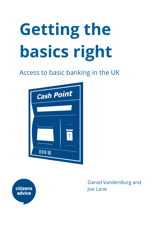# **Getting the basics right**

# Access to basic banking in the UK





Daniel VandenBurg and Joe Lane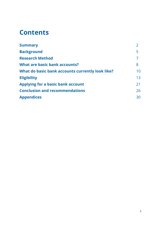# **Contents**

| <b>Summary</b>                                   |    |
|--------------------------------------------------|----|
| <b>Background</b>                                | 5  |
| <b>Research Method</b>                           |    |
| <b>What are basic bank accounts?</b>             | 8  |
| What do basic bank accounts currently look like? | 10 |
| <b>Eligibility</b>                               | 13 |
| <b>Applying for a basic bank account</b>         | 21 |
| <b>Conclusion and recommendations</b>            | 26 |
| <b>Appendices</b>                                | 30 |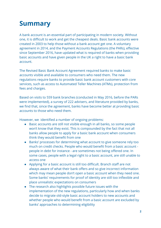# **Summary**

A bank account is an essential part of participating in modern society. Without one, it is difficult to work and get the cheapest deals. Basic bank accounts were created in 2003 to help those without a bank account get one. A voluntary agreement in 2014, and the Payment Accounts Regulations (the PARs), effective since September 2016, have updated what is required of banks when providing basic accounts and have given people in the UK a right to have a basic bank account.

The Revised Basic Bank Account Agreement required banks to make basic accounts visible and available to consumers who need them. The new regulations require banks to provide basic bank account customers with core services, such as access to Automated Teller Machines (ATMs), protection from fees and charges.

Based on visits to 559 bank branches (conducted in May 2016, before the PARs were implemented), a survey of 222 advisers, and literature provided by banks, we find that, since the agreement, banks have become better at providing basic accounts to those who need them.

However, we identified a number of ongoing problems:

- Basic accounts are still not visible enough in all banks, so some people won't know that they exist. This is compounded by the fact that not all banks allow people to apply for a basic bank account when consumers think they would benefit from one
- Banks' processes for determining what account to give someone rely too much on credit checks. People who would benefit from a basic account people in debt for instance - are sometimes not being offered one. In some cases, people with a legal right to a basic account, are still unable to access one
- Applying for a basic account is still too difficult. Branch staff are not always aware of what their bank offers and so give incorrect information which may mean people don't open a basic account when they need one. Some banks' requirements for proof of identity are still too inflexible and place unrealistic expectations on consumers
- The research also highlights possible future issues with the implementation of the new regulations, particularly how and when banks decide to migrate old-style basic account holders to new accounts and whether people who would benefit from a basic account are excluded by banks' approaches to determining eligibility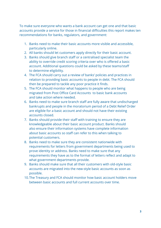To make sure everyone who wants a bank account can get one and that basic accounts provide a service for those in financial difficulties this report makes ten recommendations for banks, regulators, and government:

- 1. Banks need to make their basic accounts more visible and accessible, particularly online.
- 2. All banks should let customers apply directly for their basic account.
- 3. Banks should give branch staff or a centralised specialist team the ability to override credit scoring criteria over who is offered a basic account. Additional questions could be asked by these teams/staff to determine eligibility.
- 4. The FCA should carry out a review of banks' policies and practices in relation to providing basic accounts to people in debt. The FCA should then be prepared to tackle any poor practice it finds.
- 5. The FCA should monitor what happens to people who are being migrated from Post Office Card Accounts to basic bank accounts and take action where needed.
- 6. Banks need to make sure branch staff are fully aware that undischarged bankrupts and people in the moratorium period of a Debt Relief Order are eligible for a basic account and should not have their existing accounts closed.
- 7. Banks should provide their staff with training to ensure they are knowledgeable about their basic account product. Banks should also ensure their information systems have complete information about basic accounts so staff can refer to this when talking to potential customers.
- 8. Banks need to make sure they are consistent nationwide with requirements for letters from government departments being used to prove identity or address. Banks need to make sure that any requirements they have as to the format of letters reflect and adapt to what government departments provide.
- 9. Banks should make sure that all their customers with old-style basic accounts are migrated into the new-style basic accounts as soon as possible.
- 10.The Treasury and FCA should monitor how basic account holders move between basic accounts and full current accounts over time.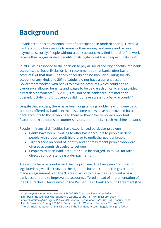# **Background**

A bank account is an essential part of participating in modern society. Having a bank account allows people to manage their money and make and receive payments securely. People without a bank account may find it hard to find work, receive their wages and/or benefits or struggle to get the cheapest utility deals.

In 2003, as a response to the decision to pay all social security benefits into bank accounts, the Social Exclusion Unit recommended that banks offer basic accounts<sup>1</sup> At that time, up to 9% of adults had no bank or building society account of any kind, and 20% of adults did not have a current account. Government worked with banks to develop accounts which could not go overdrawn, allowed benefits and wages to be paid electronically, and provided direct debit payments. $2$  By 2015, 9 million basic bank accounts had been opened. Just 4% of UK households did not have access to a bank account.<sup>34</sup>

Despite that success, there have been longstanding problems with some basic accounts offered by banks. In the past, some banks have not provided basic bank accounts to those who need them or they have removed important features such as access to counter services, and the LINK cash machine network.

People in financial difficulties have experienced particular problems:

- Banks have been unwilling to offer basic accounts to people in debt, people with a poor credit history, or to undischarged bankrupts
- Tight criteria on proof of identity and address meant people who were offered accounts struggled to get one
- People with basic bank accounts could be charged up to £40 for failed direct debits or standing order payments

Access to a bank account is an EU-wide problem. The European Commission legislated to give all EU citizens the right to a basic account.<sup>5</sup> The government made an agreement with the 9 largest banks to make it easier to get a basic bank account and to improve the accounts offered ahead of implementation of the EU Directive. This resulted in the Revised Basic Bank Account Agreement (the

<sup>1</sup> *Access to financial services - Report of PAT14*, HM Treasury, November 1999

<sup>2</sup> Number of households without bank accounts cut by half, HM Treasury, 2009

<sup>3</sup> *Implementation of the Payment Accounts Directive: consultation outcome*, HM Treasury, 2015

<sup>4</sup> Family Resources Survey 2014/15, Department for Work and Pensions, 28 June 2016

<sup>&</sup>lt;sup>5</sup> The UK implementation of this Directive is the Payment Account Regulations (the PARs).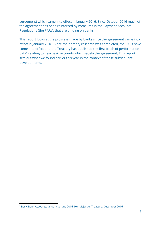agreement) which came into effect in January 2016. Since October 2016 much of the agreement has been reinforced by measures in the Payment Accounts Regulations (the PARs), that are binding on banks.

This report looks at the progress made by banks since the agreement came into effect in January 2016. Since the primary research was completed, the PARs have come into effect and the Treasury has published the first batch of performance data<sup>6</sup> relating to new basic accounts which satisfy the agreement. This report sets out what we found earlier this year in the context of these subsequent developments.

 $^6$  Basic Bank Accounts: January to June 2016, Her Majesty's Treasury, December 2016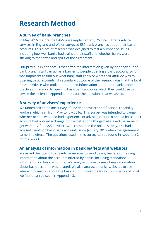# **Research Method**

#### **A survey of bank branches**

In May 2016 (before the PARS were implemented), 76 local Citizens Advice services in England and Wales surveyed 559 bank branches about their basic accounts. This piece of research was designed to test a number of issues, including how well banks had trained their staff and whether banks were sticking to the terms and spirit of the agreement.

Our previous experience is that often the information given by or behaviour of bank branch staff can act as a barrier to people opening a basic account, so it was important to find out what bank staff knew or what their attitude was to opening basic accounts. A secondary outcome of the research was that the local Citizens Advice who took part obtained information about local bank branch practices in relation to opening basic bank accounts which they could use to advise their clients. Appendix 1 sets out the questions that we asked.

#### **A survey of advisers' experience**

We undertook an online survey of 222 debt advisers and financial capability workers which ran from May to July 2016. This survey was intended to gauge whether people who had had experience of advising clients to open a basic bank account had noticed a change for the better of if things had stayed the same or got worse. Of the 222 advisers who completed the online survey, 164 had advised clients on basic bank accounts since January 2016 when the agreement came into effect. The questions used in this survey can be found in Appendix 2 to this report.

#### **An analysis of information in bank leaflets and websites**

We asked the local Citizens Advice services to send us any leaflets containing information about the accounts offered by banks, including standalone information on basic accounts. We analysed these to see where information about basic accounts was located. We also analysed banks' websites to see where information about the basic account could be found. Summaries of what we found can be seen in Appendix 3.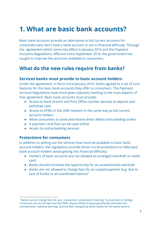# **1. What are basic bank accounts?**

Basic bank accounts provide an alternative to full current accounts for consumers who don't have a bank account or are in financial difficulty. Through the agreement which came into effect in January 2016 and the Payment Accounts Regulations, effective since September 2016, the government has sought to improve the accounts available to consumers.

### **What do the new rules require from banks?**

#### **Services banks must provide to basic account holders**

Under the agreement, in force since January 2016, banks agreed to a set of core features for the basic bank accounts they offer to consumers. The Payment Account Regulations have since given statutory backing to the main aspects of that agreement. Basic bank accounts must provide:

- Access to bank branch and Post Office counter services to deposit and withdraw cash
- Access to ATMs in the LINK network in the same way as full current account holders
- Allow consumers to send and receive direct debits and standing orders
- A payment card that can be used online
- Access to online banking services

#### **Protections for consumers**

In addition to setting out the services that must be available to basic bank account holders, the regulations provide three crucial protections to help basic bank account holders avoid getting into financial difficulty:

- Holders of basic accounts are not allowed an arranged overdraft or credit card
- Banks should minimise the opportunity for an unauthorised overdraft
- Banks are not allowed to charge fees for an unpaid payment (e.g. due to lack of funds) or an overdrawn balance<sup>7</sup>

 $^7$  Banks cannot charge fees for any transaction conducted in sterling. Transactions in foreign $\,$ currencies can accrue fees but the PARs require these to be proportionate and take into consideration national earnings and the fees charged by other banks for the same service.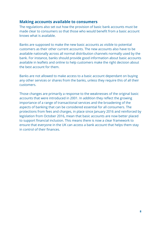#### **Making accounts available to consumers**

The regulations also set out how the provision of basic bank accounts must be made clear to consumers so that those who would benefit from a basic account knows what is available.

Banks are supposed to make the new basic accounts as visible to potential customers as their other current accounts. The new accounts also have to be available nationally across all normal distribution channels normally used by the bank. For instance, banks should provide good information about basic accounts available in leaflets and online to help customers make the right decision about the best account for them.

Banks are not allowed to make access to a basic account dependant on buying any other services or shares from the banks, unless they require this of all their customers.

Those changes are primarily a response to the weaknesses of the original basic accounts that were introduced in 2001. In addition they reflect the growing importance of a range of transactional services and the broadening of the aspects of banking that can be considered essential for all consumers. The protections from fees and charges, in place since January 2016 and reinforced by legislation from October 2016, mean that basic accounts are now better placed to support financial inclusion. This means there is now a clear framework to ensure that everyone in the UK can access a bank account that helps them stay in control of their finances.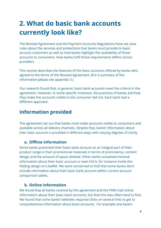# **2. What do basic bank accounts currently look like?**

The Revised Agreement and the Payment Accounts Regulations have set clear rules about the services and protections that banks must provide to basic account customers as well as how banks highlight the availability of those accounts to consumers. How banks fulfil those requirements differs across providers.

This section describes the features of the basic accounts offered by banks who agreed to the terms of the Revised Agreement. (For a summary of the information please see appendix 3.)

Our research found that, in general, basic bank accounts meet the criteria in the agreement. However, in some specific instances, the practices of banks and how they make the accounts visible to the consumer did not. Each bank had a different approach.

### **Information provided**

The agreement set out that banks must make accounts visible to consumers and available across all delivery channels. Despite that, banks' information about their basic account is provided in different ways with varying degrees of clarity.

#### **a. Offline information**

Some banks presented their basic bank account as an integral part of their product range in their promotional materials in terms of prominence, content design and the amount of space allotted. Other banks contained minimal information about their basic account or even hid it, for instance inside the folding design of a leaflet. We were concerned to find that some banks don't include information about their basic bank account within current account comparison tables.

#### **b. Online information**

We found that all banks covered by the agreement and the PARs had online information about their basic bank accounts, but that this was often hard to find. We found that some banks' websites required clicks on several links to get to comprehensive information about basic accounts. For example one bank's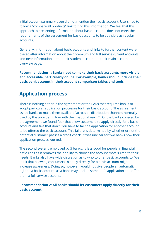initial account summary page did not mention their basic account. Users had to follow a "compare all products" link to find this information. We feel that this approach to presenting information about basic accounts does not meet the requirements of the agreement for basic accounts to be as visible as regular accounts.

Generally, information about basic accounts and links to further content were placed after information about their premium and full service current accounts and near information about their student account on their main account overview page.

**Recommendation 1: Banks need to make their basic accounts more visible and accessible, particularly online. For example, banks should include their basic bank account in their account comparison tables and tools.**

## **Application process**

There is nothing either in the agreement or the PARs that requires banks to adopt particular application processes for their basic account. The agreement asked banks to make them available "across all distribution channels normally used by the provider in line with their national reach". Of the banks covered by the agreement we found four that allow customers to apply directly for a basic account and five that don't. You have to fail the application for another account to be offered the basic account. This failure is determined by whether or not the potential customer passes a credit check. It was unclear for two banks how their application process worked.

The second system, employed by 5 banks, is less good for people in financial difficulties as it removes their ability to choose the account most suited to their needs. Banks also have wide discretion as to who to offer basic accounts to. We think that allowing consumers to apply directly for a basic account might increase awareness. Doing so, however, would not give people an automatic right to a basic account, as a bank may decline someone's application and offer them a full service account.

**Recommendation 2: All banks should let customers apply directly for their basic account.**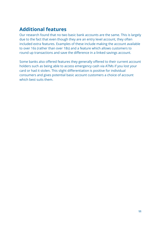### **Additional features**

Our research found that no two basic bank accounts are the same. This is largely due to the fact that even though they are an entry level account, they often included extra features. Examples of these include making the account available to over 16s (rather than over 18s) and a feature which allows customers to round up transactions and save the difference in a linked savings account.

Some banks also offered features they generally offered to their current account holders such as being able to access emergency cash via ATMs if you lost your card or had it stolen. This slight differentiation is positive for individual consumers and gives potential basic account customers a choice of account which best suits them.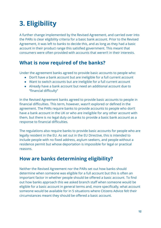# **3. Eligibility**

A further change implemented by the Revised Agreement, and carried over into the PARs is clear eligibility criteria for a basic bank account. Prior to the Revised Agreement, it was left to banks to decide this, and as long as they had a basic account in their product range this satisfied government. This meant that consumers were often provided with accounts that weren't in their interests.

### **What is now required of the banks?**

Under the agreement banks agreed to provide basic accounts to people who:

- Don't have a bank account but are ineligible for a full current account
- Want to switch accounts but are ineligible for a full current account
- Already have a bank account but need an additional account due to "financial difficulty"

In the Revised Agreement banks agreed to provide basic accounts to people in financial difficulties. This term, however, wasn't explored or defined in the agreement. The PARs require banks to provide accounts to people who don't have a bank account in the UK or who are ineligible for any other account with them, but there is no legal duty on banks to provide a basic bank account as a response to financial difficulties.

The regulations also require banks to provide basic accounts for people who are legally resident in the EU. As set out in the EU Directive, this is intended to include people with no fixed address, asylum seekers, and people without a residence permit but whose deportation is impossible for legal or practical reasons.

### **How are banks determining eligibility?**

Neither the Revised Agreement nor the PARs set out how banks should determine when someone was eligible for a full account but this is often an important factor in whether people should be offered a basic account. To find out how banks approach this we asked branch staff when someone would be eligible for a basic account in general terms and, more specifically, what account someone would be available for in 5 situations where Citizens Advice felt their circumstances meant they should be offered a basic account.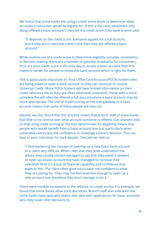We found that some banks are using a credit score alone to determine what accounts a consumer would be eligible for. If this is the case, people are only being offered a basic account if they fail the credit score. One bank branch said:

"It depends on the credit score. Everyone applies for a full account, and if they don't meet the credit score then they are offered a basic account."

While routine use of a credit score to determine eligibility provides consistency in decision making, there are a number of possible drawbacks for consumers. First, if a poor credit score is the only way to access a basic account then this makes it harder for people to chose the bank account which is right for them.

This is particularly important for Post Office Card Account (POCA) holders who are being asked to open a bank account so they can continue to receive Universal Credit. Many POCA holders will have limited information on their credit reference file as they are often otherwise unbanked. Those with a more complete file will often be offered a full account where a basic account may be more appropriate. The use of credit scoring as the sole gateway to a basic account means that some of these people will lose out.

Second, we also found that this practice meant that branch staff of some banks had little or no control over what account someone is offered. Our advisers told us that using credit scoring as the sole determinant for eligibility means that people who would benefit from a basic account lose out, particularly when vulnerable clients lack the confidence to challenge a bank's decision. This can lead to poor outcomes for such people. One adviser told us:

"I find explaining the concept of opening up a new basic bank account to a client very difficult. When I feel that they have understood the advice they usually contact me again to say that they weren't allowed to open up a basic account but have managed to increase their overdraft limit! It's a lack of financial capability and confidence that leads to this. The client often goes into a bank not confident in what they are asking for. They may not feel assertive enough to open up a new account and therefore they don't manage to do it."

There were notable exceptions to the reliance on credit scores. For example, we found that some banks allow local discretion. Branch staff also indicated that some banks have specialist teams who deal with applications for basic accounts who they could refer decisions to.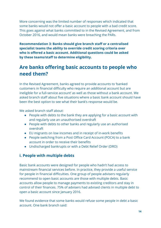More concerning was the limited number of responses which indicated that some banks would not offer a basic account to people with a bad credit score. This goes against what banks committed to in the Revised Agreement, and from October 2016, and would mean banks were breaching the PARs.

**Recommendation 3: Banks should give branch staff or a centralised specialist teams the ability to override credit scoring criteria over who is offered a basic account. Additional questions could be asked by these teams/staff to determine eligibility.**

### **Are banks offering basic accounts to people who need them?**

In the Revised Agreement, banks agreed to provide accounts to 'banked customers in financial difficulty who require an additional account but are ineligible for a full-service account' as well as those without a bank account. We asked branch staff about five situations where a basic bank account should have been the best option to see what their bank's response would be.

We asked branch staff about:

- People with debts to the bank they are applying for a basic account with and regularly use an unauthorised overdraft
- People with debts to other banks and regularly use an authorised overdraft
- EU migrants on low incomes and in receipt of in-work benefits
- People switching from a Post Office Card Account (POCA) to a bank account in order to receive their benefits
- Undischarged bankrupts or with a Debt Relief Order (DRO)

#### **i. People with multiple debts**

Basic bank accounts were designed for people who hadn't had access to mainstream financial services before. In practice, they provide a useful service for people in financial difficulties. One group of people advisers regularly recommend to open basic accounts are those with multiple debts. Basic accounts allow people to manage payments to existing creditors and stay in control of their finances. 75% of advisers had advised clients in multiple debt to open a basic account since January 2016.

We found evidence that some banks would refuse some people in debt a basic account. One bank branch said: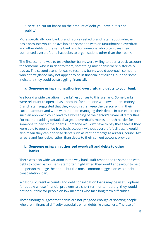"There is a cut off based on the amount of debt you have but is not public."

More specifically, our bank branch survey asked branch staff about whether basic accounts would be available to someone with an unauthorised overdraft and other debts to the same bank and for someone who often uses their authorised overdraft and has debts to organisations other than their bank.

The first scenario was to test whether banks were willing to open a basic account for someone who is in debt to them, something most banks were historically bad at. The second scenario was to test how banks would approach someone who at first glance may not appear to be in financial difficulties, but had some indicators they could be struggling financially.

#### **a. Someone using an unauthorised overdraft and debts to your bank**

We found a wide variation in banks' responses to this scenario. Some banks were reluctant to open a basic account for someone who owed them money. Branch staff suggested that they would rather keep the person within their current account and work with them on managing their debts. In our experience such an approach could lead to a worsening of the person's financial difficulties. For example adding default charges to overdrafts makes it much harder for someone to pay off their debts. Someone wouldn't have to pay these fees if they were able to open a fee-free basic account without overdraft facilities. It would also mean they can prioritise debts such as rent or mortgage arrears, council tax arrears and fuel debts rather than debts to their current account provider.

#### **b. Someone using an authorised overdraft and debts to other banks**

There was also wide variation in the way bank staff responded to someone with debts to other banks. Bank staff often highlighted they would endeavour to help the person manage their debt, but the most common suggestion was a debt consolidation loan.

Whilst full current accounts and debt consolidation loans may be useful options for people whose financial problems are short-term or temporary, they would not be suitable for people on low incomes who face long term difficulties.

These findings suggest that banks are not yet good enough at spotting people who are in financial difficulty especially when debts lie elsewhere. The use of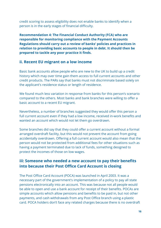credit scoring to assess eligibility does not enable banks to identify when a person is in the early stages of financial difficulty.

**Recommendation 4: The Financial Conduct Authority (FCA) who are responsible for monitoring compliance with the Payment Accounts Regulations should carry out a review of banks' policies and practices in relation to providing basic accounts to people in debt. It should then be prepared to tackle any poor practice it finds.**

#### **ii. Recent EU migrant on a low income**

Basic bank accounts allow people who are new to the UK to build up a credit history which may over time gain them access to full current accounts and other credit products. The PARs say that banks must not discriminate based solely on the applicant's residence status or length of residence.

We found much less variation in response from banks for this person's scenario compared to the others. Most banks and bank branches were willing to offer a basic account to a recent EU migrant.

Nevertheless, a number of branches suggested they would offer this person a full current account even if they had a low income, received in-work benefits and wanted an account which would not let them go overdrawn.

Some branches did say that they could offer a current account without a formal arranged overdraft facility, but this would not prevent the account from going accidentally overdrawn. Offering a full current account would also mean that the person would not be protected from additional fees for other situations such as having a payment terminated due to lack of funds, something designed to protect the incomes of those on low wages.

#### **iii: Someone who needed a new account to pay their benefits into because their Post Office Card Account is closing**

The Post Office Card Account (POCA) was launched in April 2003. It was a necessary part of the government's implementation of a policy to pay all state pensions electronically into an account. This was because not all people would be able to open and use a bank account for receipt of their benefits. POCAs are simple accounts which allow pensions and benefits to be paid in, but not other payments, and cash withdrawals from any Post Office branch using a plastic card. POCA holders don't face any related charges because there is no overdraft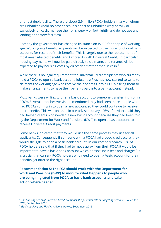or direct debit facility. There are about 2.9 million POCA holders many of whom are unbanked (hold no other account) or act as unbanked (rely heavily or exclusively on cash, manage their bills weekly or fortnightly and do not use any lending or borrow facilities).

Recently the government has changed its stance on POCA for people of working age. Working age benefit recipients will be expected to use more functional bank accounts for receipt of their benefits. This is largely due to the replacement of most means-tested benefits and tax credits with Universal Credit. In particular, housing payments will now be paid directly to claimants and tenants will be expected to pay housing costs by direct debit rather than in cash.<sup>8</sup>

While there is no legal requirement for Universal Credit recipients who currently hold a POCA to open a bank account, Jobcentre Plus has now started to write to claimants of working age who receive their benefits into a POCA asking them to make arrangements to have their benefits paid into a bank account instead.

Most banks were willing to offer a basic account to someone transferring from a POCA. Several branches we visited mentioned they had seen more people who had POCAs coming in to open a new account so they could continue to receive their benefits. This was an issue in our adviser survey - 26% of advisers said they had helped clients who needed a new basic account because they had been told by the Department for Work and Pensions (DWP) to open a basic account to receive Universal Credit payments.

Some banks indicated that they would use the same process they use for all applicants. Consequently if someone with a POCA had a good credit score, they would struggle to open a basic bank account. In our recent research 90% of POCA holders said that if they had to move away from their POCA it would be important to have a basic bank account which doesn't incur fees and charges.<sup>9</sup> It is crucial that current POCA holders who need to open a basic account for their benefits get offered the right account.

**Recommendation 5: The FCA should work with the Department for Work and Pensions (DWP) to monitor what happens to people who are being migrated from POCA to basic bank accounts and take action where needed.**

<sup>8</sup> *The banking needs of Universal Credit claimants: the potential role of budgeting accounts*, Policis for DWP, September 2016

<sup>&</sup>lt;sup>9</sup> Basic banking and POCA, Citizens Advice, September 2016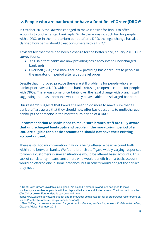#### **iv. People who are bankrupt or have a Debt Relief Order (DRO)<sup>10</sup>**

In October 2015 the law was changed to make it easier for banks to offer accounts to undischarged bankrupts. While there was no such bar for people with a DRO, or in the moratorium period after a DRO, the legal change has also clarified how banks should treat consumers with a DRO.<sup>11</sup>

Advisers felt that there had been a change for the better since January 2016. Our survey found:

- 37% said that banks are now providing basic accounts to undischarged bankrupts
- Over half (56%) said banks are now providing basic accounts to people in the moratorium period after a debt relief order

Despite that improved practice there are still problems for people who are bankrupt or have a DRO, with some banks refusing to open accounts for people with DROs. There was some uncertainty over the legal change with branch staff suggesting that basic accounts would only be available to discharged bankrupts.

Our research suggests that banks still need to do more to make sure that all bank staff are aware that they should now offer basic accounts to undischarged bankrupts or someone in the moratorium period of a DRO.

**Recommendation 6: Banks need to make sure branch staff are fully aware that undischarged bankrupts and people in the moratorium period of a DRO are eligible for a basic account and should not have their existing accounts closed.**

There is still too much variation in who is being offered a basic account both within and between banks. We found branch staff gave widely varying responses to when a customers in similar situations would be offered basic accounts. This lack of consistency means consumers who would benefit from a basic account would be offered one in some branches, but in others would not get the service they need.

<sup>&</sup>lt;sup>10</sup> Debt Relief Orders, available in England, Wales and Northern Ireland, are designed to make insolvency accessible to people with low disposable income and limited assets. The total debt must be £20,000 or below. Further details can be found here

[https://www.citizensadvice.org.uk/debt-and-money/debt-solutions/debt-relief-orders/debt-relief-orders-ex](https://www.citizensadvice.org.uk/debt-and-money/debt-solutions/debt-relief-orders/debt-relief-orders-explained/debt-relief-orders-what-you-need-to-know/) [plained/debt-relief-orders-what-you-need-to-know/\]](https://www.citizensadvice.org.uk/debt-and-money/debt-solutions/debt-relief-orders/debt-relief-orders-explained/debt-relief-orders-what-you-need-to-know/)

<sup>11</sup> See *Cutting our losses - the need for good debt collection practice for people with debt relief orders*, Citizens Advice, February 2015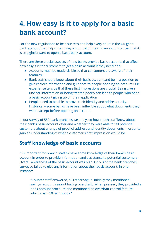# **4. How easy is it to apply for a basic bank account?**

For the new regulations to be a success and help every adult in the UK get a bank account that helps them stay in control of their finances, it is crucial that it is straightforward to open a basic bank account.

There are three crucial aspects of how banks provide basic accounts that affect how easy it is for customers to get a basic account if they need one:

- Accounts must be made visible so that consumers are aware of their features
- Bank staff should know about their basic account and be in a position to give correct information and guidance to people opening an account Our experience tells us that these first impressions are crucial. Being given unclear information or being treated poorly can lead to people who need a basic account giving up on their application
- People need to be able to prove their identity and address easily. Historically some banks have been inflexible about what documents they would accept before opening an account.

In our survey of 559 bank branches we analysed how much staff knew about their bank's basic account offer and whether they were able to tell potential customers about a range of proof of address and identity documents in order to gain an understanding of what a customer's first impression would be.

### **Staff knowledge of basic accounts**

It is important for branch staff to have some knowledge of their bank's basic account in order to provide information and assistance to potential customers. Overall awareness of the basic account was high. Only 3 of the bank branches surveyed failed to give any information about their basic account. In one instance:

"Counter staff answered, all rather vague. Initially they mentioned savings accounts as not having overdraft. When pressed, they provided a bank account brochure and mentioned an overdraft control feature which cost £10 per month."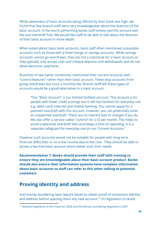While awareness of basic accounts being offered by their bank was high, we found that few branch staff were very knowledgeable about the features of the basic account. In the worst performing banks staff simply said the account was fee and overdraft free. We would like staff to be able to talk about the features of their basic account in more depth.

When asked about basic bank accounts, bank staff often mentioned unsuitable accounts such as those with a fixed charge or savings accounts. While savings accounts cannot go overdrawn, they are not a substitute for a basic account as they typically only accept cash and cheque deposits and withdrawals and do not allow electronic payments.

Branches of two banks sometimes mentioned their current accounts with "control features" rather than their basic account. These stop accounts from going overdrawn but incur a monthly fee. Branch staff felt these types of accounts would be a good alternative to a basic account.

"Our "Basic Account" is our limited facilities account. This account is for people with lower credit scorings but it still has facilities for everyday usee.g. debit card/ internet and mobile banking. You cannot apply for a planned overdraft with this account, however, you can potentially enter an unplanned overdraft. There are no interest fees or charges if you do. We also offer a service called "control" for £10 per month. This helps to avoid unplanned overdraft fees and keeps a limit on spending. It is a separate safeguard for everyday use on our Current Accounts."

However such accounts would not be suitable for people with long-term financial difficulties or on a low income due to the cost. They should be able to access a fee-free basic account which better suits their needs.

**Recommendation 7: Banks should provide their staff with training to ensure they are knowledgeable about their basic account product. Banks should also ensure their information systems have complete information about basic accounts so staff can refer to this when talking to potential customers.**

### **Proving identity and address**

Anti-money laundering laws require banks to obtain proof of someone's identity and address before opening them any new account.<sup>12</sup> EU legislation to tackle

 $12$  Relevant legislation is the Fraud Act 2006 and the Money Laundering Regulations 2007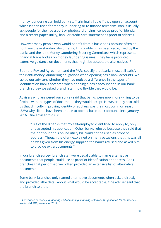money laundering can hold bank staff criminally liable if they open an account which is then used for money laundering or to finance terrorism. Banks usually ask people for their passport or photocard driving licence as proof of identity and a recent paper utility, bank or credit card statement as proof of address.

However many people who would benefit from a basic bank account often do not have these standard documents. This problem has been recognised by the banks and the Joint Money Laundering Steering Committee, which represents financial trade bodies on money laundering issues. They have produced extensive guidance on documents that might be acceptable alternatives.<sup>13</sup>

Both the Revised Agreement and the PARs specify that banks must still satisfy their anti-money laundering obligations when opening basic bank accounts. We asked our advisers whether they had noticed a difference in the types of identification banks accepted when opening a basic account and in our bank branch survey we asked branch staff how flexible they would be.

Advisers who answered our survey said that banks were now more willing to be flexible with the types of documents they would accept. However they also told us that difficulty in proving identity or address was the most common reason (32%) why clients have been unable to open a basic bank account since January 2016. One adviser told us:

"Out of the 8 banks that my self-employed client tried to apply to, only one accepted his application. Other banks refused because they said that the print-out of his online utility bill could not be used as proof of address. Though the client explained on many occasions that this was all he was given from his energy supplier, the banks refused and asked him to provide extra documents."

In our branch survey, branch staff were usually able to name alternative documents that people could use as proof of identification or address. Bank branches that performed well often provided an extensive list of alternative documents.

Some bank branches only named alternative documents when asked directly and provided little detail about what would be acceptable. One adviser said that the branch told them:

<sup>13</sup> *Prevention of money laundering and combating financing of terrorism - guidance for the financial sector*, JMLSG, November 2014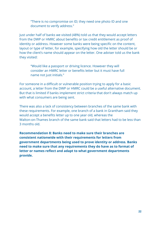"There is no compromise on ID; they need one photo ID and one document to verify address."

Just under half of banks we visited (48%) told us that they would accept letters from the DWP or HMRC about benefits or tax credit entitlement as proof of identity or address. However some banks were being specific on the content, layout or type of letter, for example, specifying how old the letter should be or how the client's name should appear on the letter. One adviser told us the bank they visited:

"Would like a passport or driving licence. However they will consider an HMRC letter or benefits letter but it must have full name not just initials."

For someone in a difficult or vulnerable position trying to apply for a basic account, a letter from the DWP or HMRC could be a useful alternative document. But that is limited if banks implement strict criteria that don't always match up with what consumers are being sent.

There was also a lack of consistency between branches of the same bank with these requirements. For example, one branch of a bank in Grantham said they would accept a benefits letter up to one year old, whereas the Walton-on-Thames branch of the same bank said that letters had to be less than 3 months old.

**Recommendation 8: Banks need to make sure their branches are consistent nationwide with their requirements for letters from government departments being used to prove identity or address. Banks need to make sure that any requirements they do have as to format of letter or names reflect and adapt to what government departments provide.**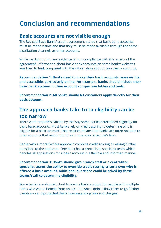# **Conclusion and recommendations**

### **Basic accounts are not visible enough**

The Revised Basic Bank Account agreement stated that basic bank accounts must be made visible and that they must be made available through the same distribution channels as other accounts.

While we did not find any evidence of non-compliance with this aspect of the agreement, information about basic bank accounts on some banks' websites was hard to find, compared with the information about mainstream accounts.

**Recommendation 1: Banks need to make their basic accounts more visible and accessible, particularly online. For example, banks should include their basic bank account in their account comparison tables and tools.**

**Recommendation 2: All banks should let customers apply directly for their basic account.**

### **The approach banks take to to eligibility can be too narrow**

There were problems caused by the way some banks determined eligibility for basic bank accounts. Most banks rely on credit scoring to determine who is eligible for a basic account. That reliance means that banks are often not able to offer accounts that respond to the complexities of people's lives.

Banks with a more flexible approach combine credit scoring by asking further questions to the applicant. One bank has a centralised specialist team which handles all applications for a basic account in a flexible and informed manner.

**Recommendation 3: Banks should give branch staff or a centralised specialist teams the ability to override credit scoring criteria over who is offered a basic account. Additional questions could be asked by these teams/staff to determine eligibility.**

Some banks are also reluctant to open a basic account for people with multiple debts who would benefit from an account which didn't allow them to go further overdrawn and protected them from escalating fees and charges.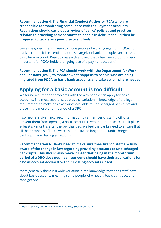**Recommendation 4: The Financial Conduct Authority (FCA) who are responsible for monitoring compliance with the Payment Accounts Regulations should carry out a review of banks' policies and practices in relation to providing basic accounts to people in debt. It should then be prepared to tackle any poor practice it finds.**

Since the government is keen to move people of working age from POCAs to bank accounts it is essential that these largely unbanked people can access a basic bank account. Previous research showed that a fee free account is very important for POCA holders ongoing use of a payment account.<sup>14</sup>

**Recommendation 5: The FCA should work with the Department for Work and Pensions (DWP) to monitor what happens to people who are being migrated from POCA to basic bank accounts and take action where needed.**

### **Applying for a basic account is too difficult**

We found a number of problems with the way people can apply for basic accounts. The most severe issue was the variation in knowledge of the legal requirement to make basic accounts available to undischarged bankrupts and those in the moratorium period of a DRO.

If someone is given incorrect information by a member of staff it will often prevent them from opening a basic account. Given that the research took place at least six months after the law changed, we feel the banks need to ensure that all their branch staff are aware that the law no longer bars undischarged bankrupts from having an account.

**Recommendation 6: Banks need to make sure their branch staff are fully aware of the change in law regarding providing accounts to undischarged bankrupts. This should also make it clear that being in the moratorium period of a DRO does not mean someone should have their applications for a basic account declined or their existing accounts closed.**

More generally there is a wide variation in the knowledge that bank staff have about basic accounts meaning some people who need a basic bank account can't get one.

<sup>14</sup> *Basic banking and POCA,* Citizens Advice, September 2016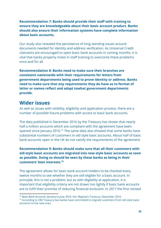#### **Recommendation 7: Banks should provide their staff with training to ensure they are knowledgeable about their basic account product. Banks should also ensure their information systems have complete information about basic accounts.**

Our study also revealed the persistence of long standing issues around documents needed for identity and address verification. As Universal Credit claimants are encouraged to open basic bank accounts in coming months, it is vital that banks properly invest in staff training to overcome these problems once and for all.

**Recommendation 8: Banks need to make sure their branches are consistent nationwide with their requirements for letters from government departments being used to prove identity or address. Banks need to make sure that any requirements they do have as to format of letter or names reflect and adapt towhat government departments provide.**

### **Wider issues**

As well as issues with visibility, eligibility and application process, there are a number of possible future problems with access to basic bank accounts.

The data published in December 2016 by the Treasury has shown that nearly half a million accounts which are compliant with the agreement have been opened since January 2016.<sup>15</sup> The same data also showed that some banks have substantial numbers of customers in old style basic accounts. About half of basic bank accounts open in the UK do not satisfy the requirements of the agreement.

**Recommendation 9: Banks should make sure that all their customers with old-style basic accounts are migrated into new style basic accounts as soon as possible. Doing so should be seen by these banks as being in their customers' best interests.<sup>16</sup>**

The agreement allows for basic bank account holders to be checked every twelve months to see whether they are still eligible for a basic account. In principle, this is not a problem, but as with eligibility at application, it is important that eligibility criteria are not drawn too tightly if basic bank accounts are to fulfil their promise of reducing financial exclusion. In 2017 the first revised

*<sup>15</sup> Basic Bank Accounts: January to June 2016,* Her Majesty's Treasury, December 2016

<sup>&</sup>lt;sup>16</sup> According to HM Treasury two banks have committed to migrate customers from old style basic accounts to the new ones.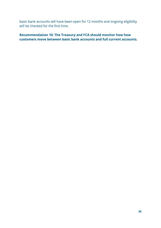basic bank accounts will have been open for 12 months and ongoing eligibility will be checked for the first time.

**Recommendation 10: The Treasury and FCA should monitor how how customers move between basic bank accounts and full current accounts.**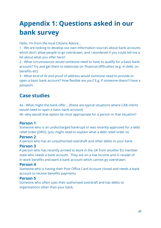# **Appendix 1: Questions asked in our bank survey**

Hello, I'm from the local Citizens Advice…

1 - We are looking to develop our own information sources about bank accounts which don't allow people to go overdrawn, and I wondered if you could tell me a bit about what you offer here?

2 - What circumstances would someone need to have to qualify for a basic bank account? Try and get them to elaborate on 'financial difficulties' (e.g. in debt, on benefits etc)

3 - What kind of ID and proof of address would someone need to provide to open a basic bank account? How flexible are you? E.g. if someone doesn't have a passport.

### **Case studies**

4a - What might the bank offer… (these are typical situations where CAB clients would need to open a basic bank account)

4b -why would that option be most appropriate for a person in that situation?

#### **Person 1**

Someone who is an undischarged bankrupt or was recently approved for a debt relief order (DRO). (you might need to explain what a debt relief order is)

#### **Person 2**

A person who has an unauthorised overdraft and other debts to your bank.

#### **Person 3**

A person who has recently arrived to work in the UK from another EU member state who needs a bank account. They are on a low income and in receipt of in-work benefits and want a bank account which cannot go overdrawn.

#### **Person 4**

Someone who is having their Post Office Card Account closed and needs a bank account to receive benefits payments.

#### **Person 5**

Someone who often uses their authorised overdraft and has debts to organisations other than your bank.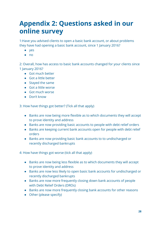# **Appendix 2: Questions asked in our online survey**

1:Have you advised clients to open a basic bank account, or about problems they have had opening a basic bank account, since 1 January 2016?

- yes
- $\bullet$  no

2: Overall, how has access to basic bank accounts changed for your clients since 1 January 2016?

- Got much better
- Got a little better
- Stayed the same
- Got a little worse
- Got much worse
- Don't know

3: How have things got better? (Tick all that apply)

- Banks are now being more flexible as to which documents they will accept to prove identity and address
- Banks are now providing basic accounts to people with debt relief orders
- Banks are keeping current bank accounts open for people with debt relief orders
- Banks are now providing basic bank accounts to to undischarged or recently discharged bankrupts

4: How have things got worse (tick all that apply)

- Banks are now being less flexible as to which documents they will accept to prove identity and address
- Banks are now less likely to open basic bank accounts for undischarged or recently discharged bankrupts
- Banks are now more frequently closing down bank accounts of people with Debt Relief Orders (DROs)
- Banks are now more frequently closing bank accounts for other reasons
- Other (please specify)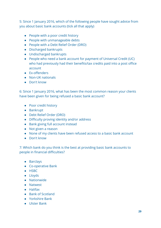5: Since 1 January 2016, which of the following people have sought advice from you about basic bank accounts (tick all that apply)

- People with a poor credit history
- People with unmanageable debts
- People with a Debt Relief Order (DRO)
- Discharged bankrupts
- Undischarged bankrupts
- People who need a bank account for payment of Universal Credit (UC) who had previously had their benefits/tax credits paid into a post office account
- Ex-offenders
- Non-UK nationals
- Don't know

6: Since 1 January 2016, what has been the most common reason your clients have been given for being refused a basic bank account?

- Poor credit history
- Bankrupt
- Debt Relief Order (DRO)
- Difficulty proving identity and/or address
- Bank giving full account instead
- Not given a reason
- None of my clients have been refused access to a basic bank account
- Don't know

7: Which bank do you think is the best at providing basic bank accounts to people in financial difficulties?

- Barclays
- Co-operative Bank
- HSBC
- Lloyds
- Nationwide
- Natwest
- Halifax
- Bank of Scotland
- Yorkshire Bank
- Ulster Bank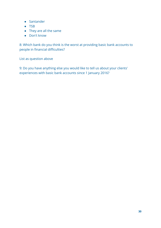- Santander
- TSB
- They are all the same
- Don't know

8: Which bank do you think is the worst at providing basic bank accounts to people in financial difficulties?

List as question above

9: Do you have anything else you would like to tell us about your clients' experiences with basic bank accounts since 1 January 2016?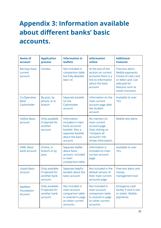# **Appendix 3: Information available about different banks' basic accounts.**

| <b>Name of</b><br>account                      | <b>Application</b><br>process                                 | <b>Information in</b><br><b>leaflets</b>                                                                              | <b>Information</b><br>online                                                                                               | <b>Additional</b><br><b>Features</b>                                                                                                       |
|------------------------------------------------|---------------------------------------------------------------|-----------------------------------------------------------------------------------------------------------------------|----------------------------------------------------------------------------------------------------------------------------|--------------------------------------------------------------------------------------------------------------------------------------------|
| <b>Barclays basic</b><br>current<br>account    | Unclear                                                       | Not included in<br>comparison table<br>but fully detailed<br>later on                                                 | At the end of the<br>section on current<br>accounts there is a<br>link to information<br>about the basic<br>account        | Free text alerts.<br>Mobile payments.<br>Choice of cash card<br>or debit card. Can<br>add paid for<br>features such as<br>travel insurance |
| Co-Operative<br><b>Bank</b><br>Cashminder      | By post, by<br>phone, or in<br>branch                         | Separate booklet<br>on the<br>Cashminder<br>account                                                                   | Information on the<br>main current<br>account page after<br>the student<br>account                                         | Available to over<br>16's                                                                                                                  |
| <b>Halifax Basic</b><br>account                | Only available<br>if rejected for<br>another<br>account       | Information<br>included in main<br>bank accounts<br>booklet. Also a<br>separate booklet<br>about the basic<br>account | No mention on<br>main current<br>account page.<br>Only clicking on<br>"compare all<br>accounts" link<br>shows information. | Mobile text alerts                                                                                                                         |
| <b>HSBC Basic</b><br>bank account              | Online, in<br>branch or by<br>post.                           | Separate leaflet<br>about basic<br>account. Included<br>in main<br>comparison table.                                  | Information is<br>included on main<br>current account<br>page                                                              | Available to over<br>16's                                                                                                                  |
| <b>Lloyds Basic</b><br>account                 | Only available<br>if rejected for<br>another bank<br>account. | Separate helpful<br>booklet about the<br>basic account.                                                               | Not included in the<br>default version of<br>their main current<br>accounts page                                           | Free text alerts and<br>money<br>management tool                                                                                           |
| <b>NatWest</b><br>Foundation<br><b>Account</b> | Only available<br>if rejected for<br>another bank<br>account. | Not included in<br>main account<br>comparison table.<br>Is covered in page<br>on other current<br>accounts.           | Not included in<br>main account<br>comparison table.<br>Is covered in page<br>on other current<br>accounts.                | <b>Emergency cash</b><br>facility if card is lost<br>or stolen. Mobile<br>payments.                                                        |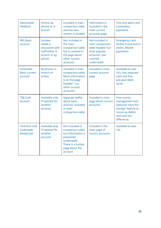| Nationwide<br>FlexBasic                         | Online, by<br>phone or in<br>branch                                                 | Included in main<br>comparison table<br>and has own<br>section in booklet                                                                | Information is<br>included in the<br>main current<br>accounts page                                                | Free text alerts and<br>contactless<br>payments                                                                              |
|-------------------------------------------------|-------------------------------------------------------------------------------------|------------------------------------------------------------------------------------------------------------------------------------------|-------------------------------------------------------------------------------------------------------------------|------------------------------------------------------------------------------------------------------------------------------|
| <b>RBS Basic</b><br>account                     | Unclear -<br>needs a<br>discussion with<br>staff either in<br>branch or by<br>phone | Not included in<br>the main<br>comparison table<br>but is covered in<br>the page about<br>other current<br>accounts                      | Not included in<br>main comparison<br>table headed "our<br>most popular<br>accounts" but<br>covered<br>underneath | <b>Emergency cash</b><br>facility if card lost or<br>stolen. Mobile<br>payments.                                             |
| Santander<br><b>Basic current</b><br>account    | By phone, in<br>branch or<br>online                                                 | Included in main<br>comparison table.<br>More information<br>is on the page<br>headed " our<br>other current<br>accounts"                | Included in main<br>current account<br>page                                                                       | Available to over<br>16's. Has separate<br>cash and free<br>pre-paid debit<br>cards.                                         |
| <b>TSB Cash</b><br>Account                      | Available only<br>if rejected for<br>another<br>account.                            | Separate leaflet<br>about basic<br>account. Included<br>in main<br>comparison table.                                                     | Included in main<br>page about current<br>accounts                                                                | Free money<br>management tool.<br>Optional "save the<br>change" feature to<br>round up debits<br>and save the<br>difference. |
| <b>Yorkshire and</b><br>Clydesdale<br>ReadyCash | Available only<br>if rejected for<br>another<br>account                             | Not included in<br>comparison table<br>but information is<br>presented<br>underneath.<br>There is a further<br>page about the<br>account | Included in the<br>main page of<br>current accounts                                                               | Available to over<br>16s                                                                                                     |